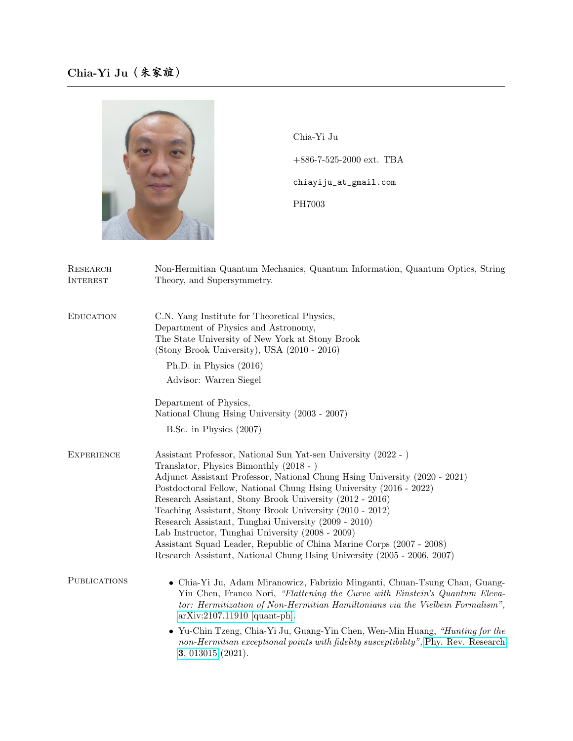

Chia-Yi Ju +886-7-525-2000 ext. TBA chiayiju\_at\_gmail.com PH7003

| RESEARCH<br><b>INTEREST</b> | Non-Hermitian Quantum Mechanics, Quantum Information, Quantum Optics, String<br>Theory, and Supersymmetry.                                                                                                                                                                                                                                                                                                                                                                                                                                                                                                                                           |
|-----------------------------|------------------------------------------------------------------------------------------------------------------------------------------------------------------------------------------------------------------------------------------------------------------------------------------------------------------------------------------------------------------------------------------------------------------------------------------------------------------------------------------------------------------------------------------------------------------------------------------------------------------------------------------------------|
| <b>EDUCATION</b>            | C.N. Yang Institute for Theoretical Physics,<br>Department of Physics and Astronomy,<br>The State University of New York at Stony Brook<br>(Stony Brook University), USA (2010 - 2016)                                                                                                                                                                                                                                                                                                                                                                                                                                                               |
|                             | Ph.D. in Physics (2016)                                                                                                                                                                                                                                                                                                                                                                                                                                                                                                                                                                                                                              |
|                             | Advisor: Warren Siegel                                                                                                                                                                                                                                                                                                                                                                                                                                                                                                                                                                                                                               |
|                             | Department of Physics,<br>National Chung Hsing University (2003 - 2007)                                                                                                                                                                                                                                                                                                                                                                                                                                                                                                                                                                              |
|                             | B.Sc. in Physics (2007)                                                                                                                                                                                                                                                                                                                                                                                                                                                                                                                                                                                                                              |
| <b>EXPERIENCE</b>           | Assistant Professor, National Sun Yat-sen University (2022 - )<br>Translator, Physics Bimonthly (2018 - )<br>Adjunct Assistant Professor, National Chung Hsing University (2020 - 2021)<br>Postdoctoral Fellow, National Chung Hsing University (2016 - 2022)<br>Research Assistant, Stony Brook University (2012 - 2016)<br>Teaching Assistant, Stony Brook University (2010 - 2012)<br>Research Assistant, Tunghai University (2009 - 2010)<br>Lab Instructor, Tunghai University (2008 - 2009)<br>Assistant Squad Leader, Republic of China Marine Corps (2007 - 2008)<br>Research Assistant, National Chung Hsing University (2005 - 2006, 2007) |
| <b>PUBLICATIONS</b>         | • Chia-Yi Ju, Adam Miranowicz, Fabrizio Minganti, Chuan-Tsung Chan, Guang-<br>Yin Chen, Franco Nori, "Flattening the Curve with Einstein's Quantum Eleva-<br>tor: Hermitization of Non-Hermitian Hamiltonians via the Vielbein Formalism",<br>$arXiv:2107.11910$ [quant-ph].                                                                                                                                                                                                                                                                                                                                                                         |
|                             | • Yu-Chin Tzeng, Chia-Yi Ju, Guang-Yin Chen, Wen-Min Huang, "Hunting for the<br>non-Hermitian exceptional points with fidelity susceptibility", Phy. Rev. Research<br>3, 013015 (2021).                                                                                                                                                                                                                                                                                                                                                                                                                                                              |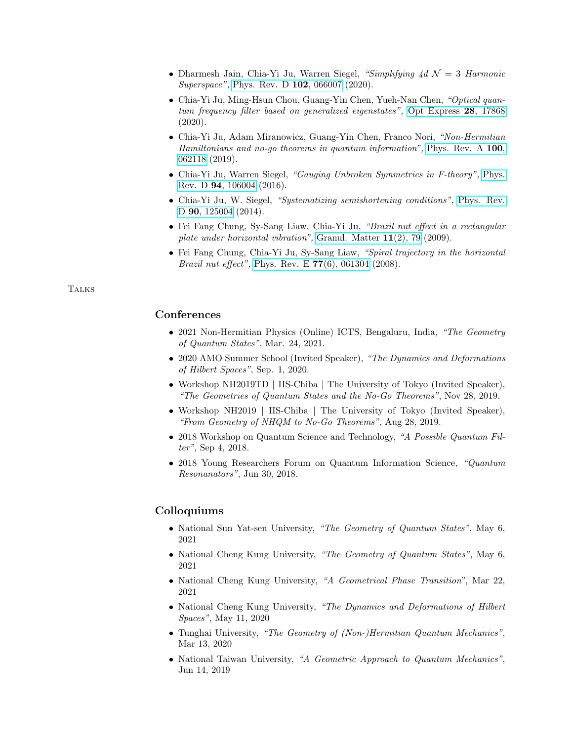- Dharmesh Jain, Chia-Yi Ju, Warren Siegel, "Simplifying  $\Delta d \mathcal{N} = 3$  Harmonic Superspace", [Phys. Rev. D](https://doi.org/10.1103/PhysRevD.102.066007) 102, 066007 (2020).
- Chia-Yi Ju, Ming-Hsun Chou, Guang-Yin Chen, Yueh-Nan Chen, "Optical quantum frequency filter based on generalized eigenstates", [Opt Express](https://doi.org/10.1364/OE.395140) 28, 17868 (2020).
- Chia-Yi Ju, Adam Miranowicz, Guang-Yin Chen, Franco Nori, "Non-Hermitian Hamiltonians and no-go theorems in quantum information", [Phys. Rev. A](https://doi.org/10.1103/PhysRevA.100.062118) 100, [062118](https://doi.org/10.1103/PhysRevA.100.062118) (2019).
- Chia-Yi Ju, Warren Siegel, "Gauging Unbroken Symmetries in F-theory", [Phys.](https://doi.org/10.1103/PhysRevD.94.106004) Rev. D 94[, 106004](https://doi.org/10.1103/PhysRevD.94.106004) (2016).
- Chia-Yi Ju, W. Siegel, "Systematizing semishortening conditions", [Phys. Rev.](https://doi.org/10.1103/PhysRevD.90.125004) D **90**[, 125004](https://doi.org/10.1103/PhysRevD.90.125004) (2014).
- Fei Fang Chung, Sy-Sang Liaw, Chia-Yi Ju, "Brazil nut effect in a rectangular plate under horizontal vibration", [Granul. Matter](https://doi.org/10.1007/s10035-008-0122-2) 11(2), 79 (2009).
- Fei Fang Chung, Chia-Yi Ju, Sy-Sang Liaw, "Spiral trajectory in the horizontal *Brazil nut effect*", [Phys. Rev. E](https://doi.org/10.1103/PhysRevE.77.061304)  $77(6)$ , 061304 (2008).

## **TALKS**

## **Conferences**

- 2021 Non-Hermitian Physics (Online) ICTS, Bengaluru, India, "The Geometry of Quantum States", Mar. 24, 2021.
- 2020 AMO Summer School (Invited Speaker), "The Dynamics and Deformations of Hilbert Spaces", Sep. 1, 2020.
- Workshop NH2019TD | IIS-Chiba | The University of Tokyo (Invited Speaker), "The Geometries of Quantum States and the No-Go Theorems", Nov 28, 2019.
- Workshop NH2019 | IIS-Chiba | The University of Tokyo (Invited Speaker), "From Geometry of NHQM to No-Go Theorems", Aug 28, 2019.
- 2018 Workshop on Quantum Science and Technology, "A Possible Quantum Filter", Sep 4, 2018.
- 2018 Young Researchers Forum on Quantum Information Science, "Quantum Resonanators", Jun 30, 2018.

## Colloquiums

- National Sun Yat-sen University, "The Geometry of Quantum States", May 6, 2021
- National Cheng Kung University, "The Geometry of Quantum States", May 6, 2021
- National Cheng Kung University, "A Geometrical Phase Transition", Mar 22, 2021
- National Cheng Kung University, "The Dynamics and Deformations of Hilbert Spaces", May 11, 2020
- Tunghai University, "The Geometry of (Non-)Hermitian Quantum Mechanics", Mar 13, 2020
- National Taiwan University, "A Geometric Approach to Quantum Mechanics", Jun 14, 2019